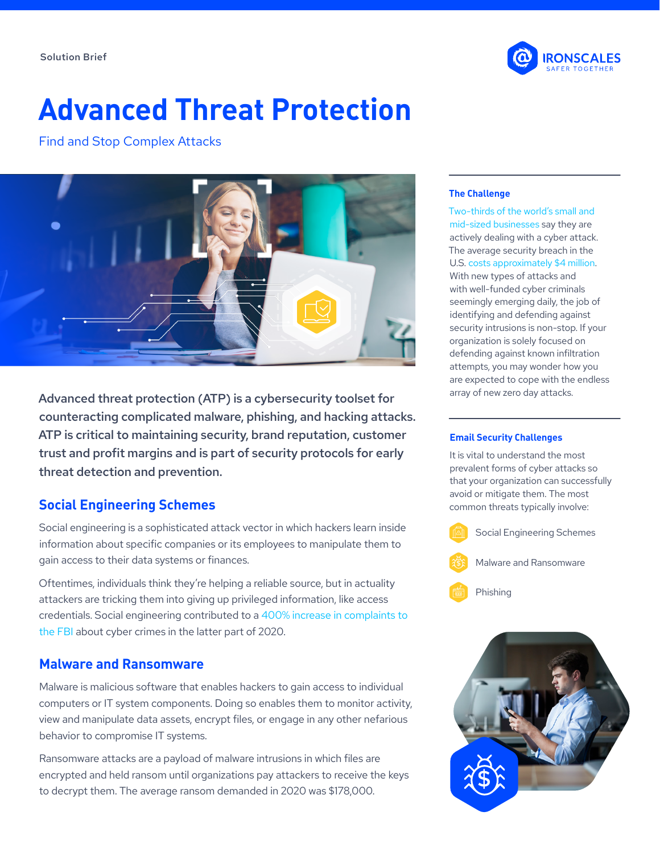

# **Advanced Threat Protection**

Find and Stop Complex Attacks



Advanced threat protection (ATP) is a cybersecurity toolset for counteracting complicated malware, phishing, and hacking attacks. ATP is critical to maintaining security, brand reputation, customer trust and profit margins and is part of security protocols for early threat detection and prevention.

# **Social Engineering Schemes**

Social engineering is a sophisticated attack vector in which hackers learn inside information about specific companies or its employees to manipulate them to gain access to their data systems or finances.

Oftentimes, individuals think they're helping a reliable source, but in actuality attackers are tricking them into giving up privileged information, like access credentials. Social engineering contributed to a [400% increase in complaints to](https://www.forbes.com/sites/forbesbusinesscouncil/2020/10/26/beware-of-these-top-five-social-engineering-scams/?sh=34b06a965f39)  [the FBI](https://www.forbes.com/sites/forbesbusinesscouncil/2020/10/26/beware-of-these-top-five-social-engineering-scams/?sh=34b06a965f39) about cyber crimes in the latter part of 2020.

## **Malware and Ransomware**

Malware is malicious software that enables hackers to gain access to individual computers or IT system components. Doing so enables them to monitor activity, view and manipulate data assets, encrypt files, or engage in any other nefarious behavior to compromise IT systems.

Ransomware attacks are a payload of malware intrusions in which files are encrypted and held ransom until organizations pay attackers to receive the keys to decrypt them. The average ransom demanded in 2020 was \$178,000.

#### **The Challenge**

[Two-thirds of the world's small and](https://start.keeper.io/2019-ponemon-report)  [mid-sized businesses](https://start.keeper.io/2019-ponemon-report) say they are actively dealing with a cyber attack. The average security breach in the U.S. [costs approximately \\$4 million](https://www.ibm.com/security/data-breach). With new types of attacks and with well-funded cyber criminals seemingly emerging daily, the job of identifying and defending against security intrusions is non-stop. If your organization is solely focused on defending against known infiltration attempts, you may wonder how you are expected to cope with the endless array of new zero day attacks.

#### **Email Security Challenges**

It is vital to understand the most prevalent forms of cyber attacks so that your organization can successfully avoid or mitigate them. The most common threats typically involve: